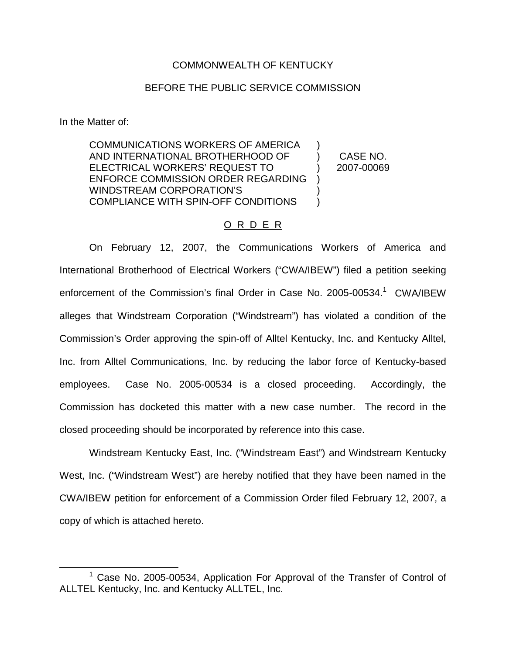## COMMONWEALTH OF KENTUCKY

## BEFORE THE PUBLIC SERVICE COMMISSION

In the Matter of:

COMMUNICATIONS WORKERS OF AMERICA AND INTERNATIONAL BROTHERHOOD OF ELECTRICAL WORKERS' REQUEST TO ENFORCE COMMISSION ORDER REGARDING WINDSTREAM CORPORATION'S COMPLIANCE WITH SPIN-OFF CONDITIONS ) ) CASE NO. ) 2007-00069 ) ) )

## O R D E R

On February 12, 2007, the Communications Workers of America and International Brotherhood of Electrical Workers ("CWA/IBEW") filed a petition seeking enforcement of the Commission's final Order in Case No. 2005-00534.<sup>1</sup> CWA/IBEW alleges that Windstream Corporation ("Windstream") has violated a condition of the Commission's Order approving the spin-off of Alltel Kentucky, Inc. and Kentucky Alltel, Inc. from Alltel Communications, Inc. by reducing the labor force of Kentucky-based employees. Case No. 2005-00534 is a closed proceeding. Accordingly, the Commission has docketed this matter with a new case number. The record in the closed proceeding should be incorporated by reference into this case.

Windstream Kentucky East, Inc. ("Windstream East") and Windstream Kentucky West, Inc. ("Windstream West") are hereby notified that they have been named in the CWA/IBEW petition for enforcement of a Commission Order filed February 12, 2007, a copy of which is attached hereto.

 $1$  Case No. 2005-00534, Application For Approval of the Transfer of Control of ALLTEL Kentucky, Inc. and Kentucky ALLTEL, Inc.